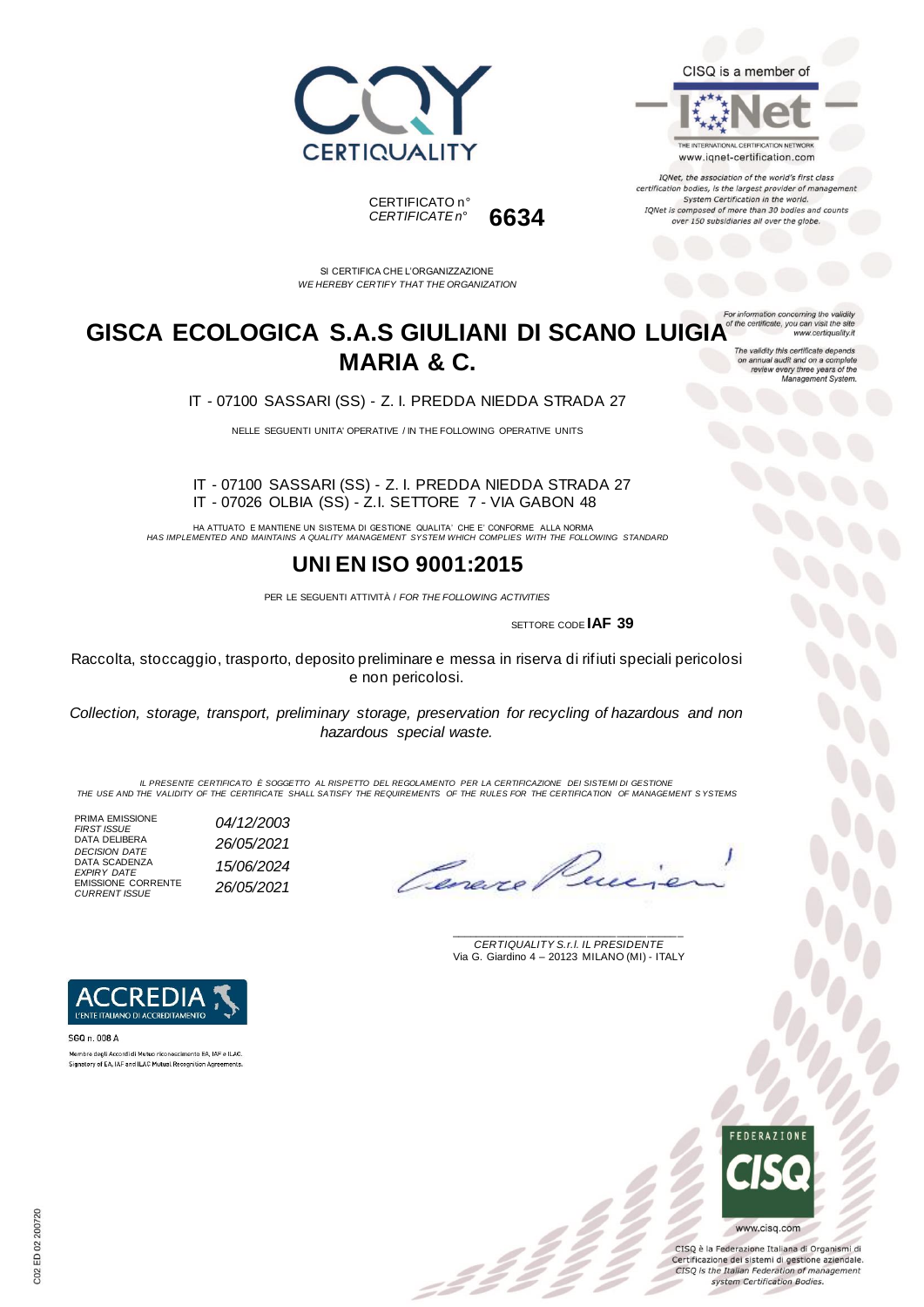



IQNet, the association of the world's first class certification bodies, is the largest provider of manageme. System Certification in the world. IQNet is composed of more than 30 bodies and counts over 150 subsidiaries all over the globe.

> ion concerning the validity www.certiquality.it





SI CERTIFICA CHE L'ORGANIZZAZIONE *WE HEREBY CERTIFY THAT THE ORGANIZATION*

#### GISCA ECOLOGICA S.A.S GIULIANI DI SCANO LUIGIA<sup>of the certificate, you can visit the ste</sup> **MARIA & C.** on annual audit and on a complete<br>review every three years of the<br>Management System.

IT - 07100 SASSARI (SS) - Z. I. PREDDA NIEDDA STRADA 27

NELLE SEGUENTI UNITA' OPERATIVE / IN THE FOLLOWING OPERATIVE UNITS

IT - 07100 SASSARI (SS) - Z. I. PREDDA NIEDDA STRADA 27 IT - 07026 OLBIA (SS) - Z.I. SETTORE 7 - VIA GABON 48

HA ATTUATO E MANTIENE UN SISTEMA DI GESTIONE QUALITA' CHE E' CONFORME ALLA NORMA *HAS IMPLEMENTED AND MAINTAINS A QUALITY MANAGEMENT SYSTEM WHICH COMPLIES WITH THE FOLLOWING STANDARD*

### **UNI EN ISO 9001:2015**

PER LE SEGUENTI ATTIVITÀ / *FOR THE FOLLOWING ACTIVITIES*

SETTORE CODE **IAF 39**

Raccolta, stoccaggio, trasporto, deposito preliminare e messa in riserva di rifiuti speciali pericolosi e non pericolosi.

*Collection, storage, transport, preliminary storage, preservation for recycling of hazardous and non hazardous special waste.*

IL PRESENTE CERTIFICATO E SOGGETTO AL RISPETTO DEL REGOLAMENTO PER LA CERTIFICAZIONE DEI SISTEMI DI GESTIONE<br>THE USE AND THE VALIDITY OF THE CERTIFICATE SHALL SATISFY THE REQUIREMENTS OF THE RULES FOR THE CERTIFICATION OF

 $\mathcal{L}$ 

PRIMA EMISSIONE<br>FIRST ISSUE DATA DELIBERA *DECISION DATE 26/05/2021* DATA SCADENZA *EXPIRY DATE 15/06/2024* EMISSIONE CORRENTE *CURRENT ISSUE 26/05/2021*

:REDIA L'ENTE ITALIANO DI ACCREDITAMENTO

Membro degli Accordi di Mutuo riconoscimento EA, IAF e ILAC Signatory of EA, IAF and ILAC Mutual Recognition Agreements

SGQ n. 008 A

*FIRST ISSUE 04/12/2003*

Cene

\_\_\_\_\_\_\_\_\_\_\_\_\_\_\_\_\_\_\_\_\_\_\_\_\_\_\_\_\_\_\_\_\_\_\_\_\_\_\_ *CERTIQUALITY S.r.l. IL PRESIDENTE* Via G. Giardino 4 – 20123 MILANO (MI) - ITALY



CISQ è la Federazione Italiana di Organismi di Certificazione dei sistemi di gestione aziendale. CISQ is the Italian Federation of management system Certification Bodies.